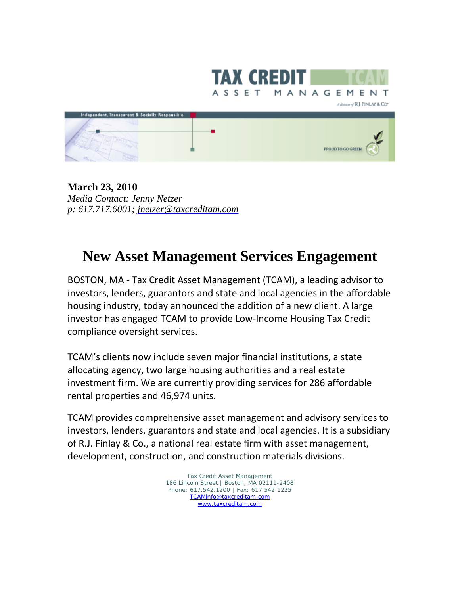

**March 23, 2010** *Media Contact: Jenny Netzer p: 617.717.6001; jnetzer@taxcreditam.com*

## **New Asset Management Services Engagement**

BOSTON, MA ‐ Tax Credit Asset Management (TCAM), a leading advisor to investors, lenders, guarantors and state and local agencies in the affordable housing industry, today announced the addition of a new client. A large investor has engaged TCAM to provide Low‐Income Housing Tax Credit compliance oversight services.

TCAM's clients now include seven major financial institutions, a state allocating agency, two large housing authorities and a real estate investment firm. We are currently providing services for 286 affordable rental properties and 46,974 units.

TCAM provides comprehensive asset management and advisory services to investors, lenders, guarantors and state and local agencies. It is a subsidiary of R.J. Finlay & Co., a national real estate firm with asset management, development, construction, and construction materials divisions.

> Tax Credit Asset Management 186 Lincoln Street | Boston, MA 02111-2408 Phone: 617.542.1200 | Fax: 617.542.1225 TCAMinfo@taxcreditam.com www.taxcreditam.com